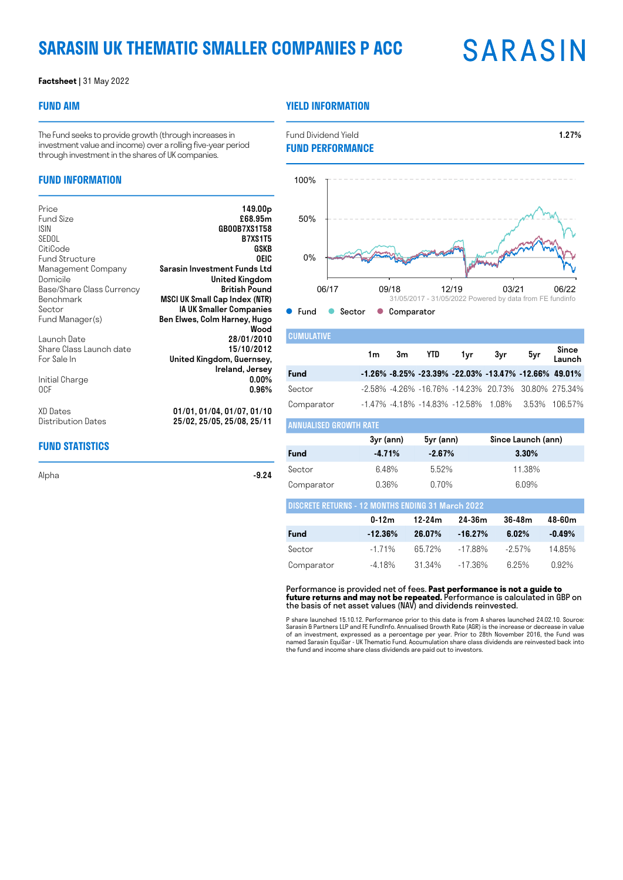# **SARASIN UK THEMATIC SMALLER COMPANIES P ACC**

# **SARASIN**

#### **Factsheet |** 31 May 2022

### **FUND AIM**

### **YIELD INFORMATION**

The Fund seeks to provide growth (through increases in investment value and income) over a rolling five-year period through investment in the shares of UK companies.

### **FUND INFORMATION**

| Price<br><b>Fund Size</b> | 149.00 <sub>p</sub><br>£68.95m       |
|---------------------------|--------------------------------------|
| <b>ISIN</b>               | GB00B7XS1T58                         |
| SEDOL<br>CitiCode         | <b>B7XS1T5</b><br>GSKB               |
| <b>Fund Structure</b>     | OEIC                                 |
| Management Company        | Sarasin Investment Funds Ltd         |
| Domicile                  | United Kingdom                       |
| Base/Share Class Currency | <b>British Pound</b>                 |
| Benchmark                 | MSCI UK Small Cap Index (NTR)        |
| Sector                    | <b>IA UK Smaller Companies</b>       |
| Fund Manager(s)           | Ben Elwes, Colm Harney, Hugo<br>Wood |
| Launch Date               | 28/01/2010                           |
| Share Class Launch date   | 15/10/2012                           |
| For Sale In               | United Kingdom, Guernsey,            |
|                           | Ireland, Jersey                      |
| Initial Charge            | $0.00\%$                             |
| 0CF                       | 0.96%                                |
| XD Dates                  | 01/01, 01/04, 01/07, 01/10           |
| Distribution Dates        | 25/02, 25/05, 25/08, 25/11           |

### **FUND STATISTICS**

Alpha -**9.24** - Alpha - Alpha - Alpha - Alpha - Alpha - Alpha - Alpha - Alpha - Alpha - Alpha - Alpha - Alpha - A

Fund Dividend Yield **1.27% FUND PERFORMANCE**



| <b>CUMULATIVE</b> |    |  |                                                                           |     |                 |
|-------------------|----|--|---------------------------------------------------------------------------|-----|-----------------|
|                   | 1m |  | 3m YTD 1yr 3yr                                                            | 5yr | Since<br>Launch |
| Fund              |    |  | $-1.26\%$ $-8.25\%$ $-23.39\%$ $-22.03\%$ $-13.47\%$ $-12.66\%$ $49.01\%$ |     |                 |
| Sector            |    |  | -2.58% -4.26% -16.76% -14.23% 20.73% 30.80% 275.34%                       |     |                 |
| Comparator        |    |  | $-1.47\%$ $-4.18\%$ $-14.83\%$ $-12.58\%$ 1.08% 3.53% 106.57%             |     |                 |

| I ANNUALISED GROWTH RATE |           |           |                    |  |  |  |  |
|--------------------------|-----------|-----------|--------------------|--|--|--|--|
|                          | 3yr (ann) | 5yr (ann) | Since Launch (ann) |  |  |  |  |
| Fund                     | $-4.71%$  | $-2.67%$  | 3.30%              |  |  |  |  |
| Sector                   | 6.48%     | 5.52%     | 11.38%             |  |  |  |  |
| Comparator               | 0.36%     | 0.70%     | 6.09%              |  |  |  |  |

| <b>DISCRETE RETURNS - 12 MONTHS ENDING 31 March 2022</b> |                   |        |           |           |          |  |  |  |
|----------------------------------------------------------|-------------------|--------|-----------|-----------|----------|--|--|--|
|                                                          | 0.12 <sub>m</sub> | 12-24m | 24-36m    | 36-48m    | 48-60m   |  |  |  |
| <b>Fund</b>                                              | $-12.36%$         | 26.07% | $-16.27%$ | 6.02%     | $-0.49%$ |  |  |  |
| Sector                                                   | $-171%$           | 6572%  | -1788%    | $-2.57\%$ | 1485%    |  |  |  |
| Comparator                                               | -418%             | 31.34% | -17.36%   | 625%      | $0.92\%$ |  |  |  |

Performance is provided net of fees. **Past performance is not a guide to future returns and may not be repeated.** Performance is calculated in GBP on the basis of net asset values (NAV) and dividends reinvested.

P share launched 15.10.12. Performance prior to this date is from A shares launched 24.02.10. Source:<br>Sarasin & Partners LLP and FE FundInfo. Annualised Growth Rate (AGR) is the increase or decrease in value<br>of an investme the fund and income share class dividends are paid out to investors.